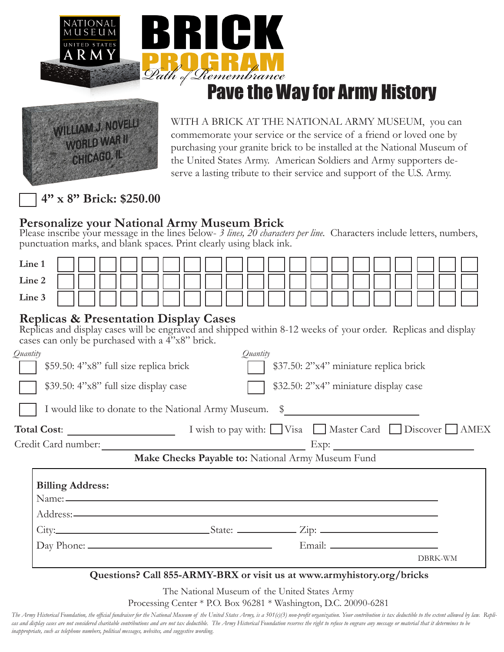

# Pave the Way for Army History



WITH A BRICK AT THE NATIONAL ARMY MUSEUM, you can commemorate your service or the service of a friend or loved one by purchasing your granite brick to be installed at the National Museum of the United States Army. American Soldiers and Army supporters deserve a lasting tribute to their service and support of the U.S. Army.

**4" x 8" Brick: \$250.00**

### **Personalize your National Army Museum Brick**

Please inscribe your message in the lines below- 3 lines, 20 characters per line. Characters include letters, numbers, punctuation marks, and blank spaces. Print clearly using black ink.

| Line 1                                                                                                                                                                                                               |                                                        |                                        |  |
|----------------------------------------------------------------------------------------------------------------------------------------------------------------------------------------------------------------------|--------------------------------------------------------|----------------------------------------|--|
| Line 2                                                                                                                                                                                                               |                                                        |                                        |  |
| Line 3                                                                                                                                                                                                               |                                                        |                                        |  |
| <b>Replicas &amp; Presentation Display Cases</b><br>Replicas and display cases will be engraved and shipped within 8-12 weeks of your order. Replicas and display<br>cases can only be purchased with a 4"x8" brick. |                                                        |                                        |  |
| Quantity                                                                                                                                                                                                             |                                                        | Quantity                               |  |
| \$59.50: 4"x8" full size replica brick                                                                                                                                                                               |                                                        | \$37.50: 2"x4" miniature replica brick |  |
| \$39.50: 4"x8" full size display case                                                                                                                                                                                |                                                        | \$32.50: 2"x4" miniature display case  |  |
|                                                                                                                                                                                                                      |                                                        |                                        |  |
|                                                                                                                                                                                                                      | I would like to donate to the National Army Museum. \$ |                                        |  |
|                                                                                                                                                                                                                      |                                                        |                                        |  |
|                                                                                                                                                                                                                      |                                                        |                                        |  |
|                                                                                                                                                                                                                      | Make Checks Payable to: National Army Museum Fund      |                                        |  |
|                                                                                                                                                                                                                      |                                                        |                                        |  |
| <b>Billing Address:</b>                                                                                                                                                                                              |                                                        |                                        |  |
|                                                                                                                                                                                                                      |                                                        |                                        |  |
|                                                                                                                                                                                                                      |                                                        |                                        |  |
|                                                                                                                                                                                                                      |                                                        |                                        |  |

The National Museum of the United States Army

Processing Center \* P.O. Box 96281 \* Washington, D.C. 20090-6281

The Army Historical Foundation, the official fundraiser for the National Museum of the United States Army, is a 501(c)(3) non-profit organization. Your contribution is tax deductible to the extent allowed by law. Replicas and display cases are not considered charitable contributions and are not tax deductible. The Army Historical Foundation reserves the right to refuse to engrave any message or material that it determines to be *inappropriate, such as telephone numbers, political messages, websites, and suggestive wording.*